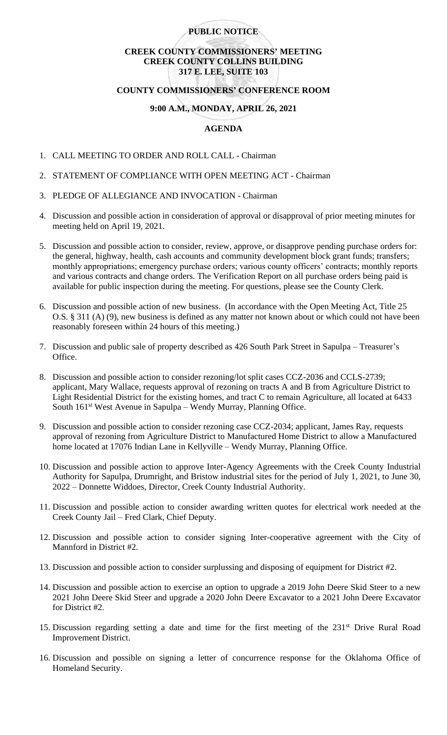## **PUBLIC NOTICE**

# **CREEK COUNTY COMMISSIONERS' MEETING CREEK COUNTY COLLINS BUILDING 317 E. LEE, SUITE 103**

#### **COUNTY COMMISSIONERS' CONFERENCE ROOM**

#### **9:00 A.M., MONDAY, APRIL 26, 2021**

### **AGENDA**

- 1. CALL MEETING TO ORDER AND ROLL CALL Chairman
- 2. STATEMENT OF COMPLIANCE WITH OPEN MEETING ACT Chairman
- 3. PLEDGE OF ALLEGIANCE AND INVOCATION Chairman
- 4. Discussion and possible action in consideration of approval or disapproval of prior meeting minutes for meeting held on April 19, 2021.
- 5. Discussion and possible action to consider, review, approve, or disapprove pending purchase orders for: the general, highway, health, cash accounts and community development block grant funds; transfers; monthly appropriations; emergency purchase orders; various county officers' contracts; monthly reports and various contracts and change orders. The Verification Report on all purchase orders being paid is available for public inspection during the meeting. For questions, please see the County Clerk.
- 6. Discussion and possible action of new business. (In accordance with the Open Meeting Act, Title 25 O.S. § 311 (A) (9), new business is defined as any matter not known about or which could not have been reasonably foreseen within 24 hours of this meeting.)
- 7. Discussion and public sale of property described as 426 South Park Street in Sapulpa Treasurer's Office.
- 8. Discussion and possible action to consider rezoning/lot split cases CCZ-2036 and CCLS-2739; applicant, Mary Wallace, requests approval of rezoning on tracts A and B from Agriculture District to Light Residential District for the existing homes, and tract C to remain Agriculture, all located at 6433 South 161<sup>st</sup> West Avenue in Sapulpa – Wendy Murray, Planning Office.
- 9. Discussion and possible action to consider rezoning case CCZ-2034; applicant, James Ray, requests approval of rezoning from Agriculture District to Manufactured Home District to allow a Manufactured home located at 17076 Indian Lane in Kellyville – Wendy Murray, Planning Office.
- 10. Discussion and possible action to approve Inter-Agency Agreements with the Creek County Industrial Authority for Sapulpa, Drumright, and Bristow industrial sites for the period of July 1, 2021, to June 30, 2022 – Donnette Widdoes, Director, Creek County Industrial Authority.
- 11. Discussion and possible action to consider awarding written quotes for electrical work needed at the Creek County Jail – Fred Clark, Chief Deputy.
- 12. Discussion and possible action to consider signing Inter-cooperative agreement with the City of Mannford in District #2.
- 13. Discussion and possible action to consider surplussing and disposing of equipment for District #2.
- 14. Discussion and possible action to exercise an option to upgrade a 2019 John Deere Skid Steer to a new 2021 John Deere Skid Steer and upgrade a 2020 John Deere Excavator to a 2021 John Deere Excavator for District #2.
- 15. Discussion regarding setting a date and time for the first meeting of the 231<sup>st</sup> Drive Rural Road Improvement District.
- 16. Discussion and possible on signing a letter of concurrence response for the Oklahoma Office of Homeland Security.